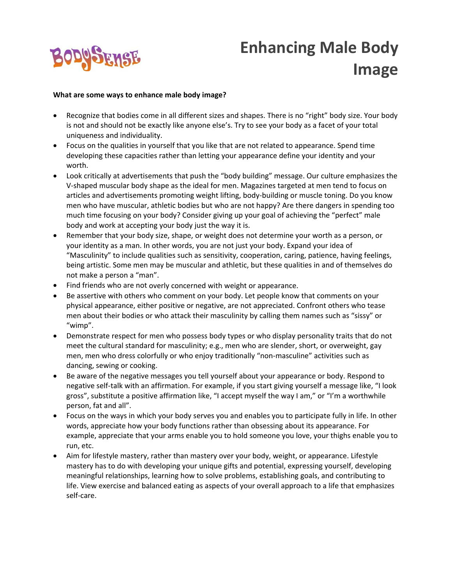

## **Enhancing Male Body Image**

## **What are some ways to enhance male body image?**

- Recognize that bodies come in all different sizes and shapes. There is no "right" body size. Your body is not and should not be exactly like anyone else's. Try to see your body as a facet of your total uniqueness and individuality.
- Focus on the qualities in yourself that you like that are not related to appearance. Spend time developing these capacities rather than letting your appearance define your identity and your worth.
- Look critically at advertisements that push the "body building" message. Our culture emphasizes the V‐shaped muscular body shape as the ideal for men. Magazines targeted at men tend to focus on articles and advertisements promoting weight lifting, body‐building or muscle toning. Do you know men who have muscular, athletic bodies but who are not happy? Are there dangers in spending too much time focusing on your body? Consider giving up your goal of achieving the "perfect" male body and work at accepting your body just the way it is.
- Remember that your body size, shape, or weight does not determine your worth as a person, or your identity as a man. In other words, you are not just your body. Expand your idea of "Masculinity" to include qualities such as sensitivity, cooperation, caring, patience, having feelings, being artistic. Some men may be muscular and athletic, but these qualities in and of themselves do not make a person a "man".
- Find friends who are not overly concerned with weight or appearance.
- Be assertive with others who comment on your body. Let people know that comments on your physical appearance, either positive or negative, are not appreciated. Confront others who tease men about their bodies or who attack their masculinity by calling them names such as "sissy" or "wimp".
- Demonstrate respect for men who possess body types or who display personality traits that do not meet the cultural standard for masculinity; e.g., men who are slender, short, or overweight, gay men, men who dress colorfully or who enjoy traditionally "non‐masculine" activities such as dancing, sewing or cooking.
- Be aware of the negative messages you tell yourself about your appearance or body. Respond to negative self‐talk with an affirmation. For example, if you start giving yourself a message like, "I look gross", substitute a positive affirmation like, "I accept myself the way I am," or "I'm a worthwhile person, fat and all".
- Focus on the ways in which your body serves you and enables you to participate fully in life. In other words, appreciate how your body functions rather than obsessing about its appearance. For example, appreciate that your arms enable you to hold someone you love, your thighs enable you to run, etc.
- Aim for lifestyle mastery, rather than mastery over your body, weight, or appearance. Lifestyle mastery has to do with developing your unique gifts and potential, expressing yourself, developing meaningful relationships, learning how to solve problems, establishing goals, and contributing to life. View exercise and balanced eating as aspects of your overall approach to a life that emphasizes self‐care.